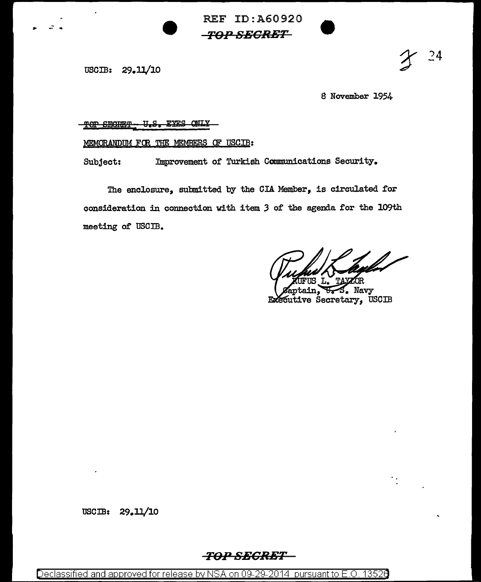REF ID:A60920 *TO:P* **SSGR:ET** 

USCIB: 29.11/10

... - ..

8 November 1954

 $^{24}$ 

## 'l'QP SE8HE'l' TJ,8 I EB.8 *gmx*

MEMORANDUM FOR THE MEMBERS OF USCIB:

Subject: Improvement of Turkish Communications Security.

The enclosure, submitted by the CIA Member, is circulated for consideration in connection with item *3* of the agenda for the 109th meeting of USCIB.

S. Navy tain. Executive Secretary, USCIB

USCIB: 29.11/10

## *TOPSBCRET*

Declassified and approved for release by NSA on 09-29-2014 pursuant to E.O. 1352e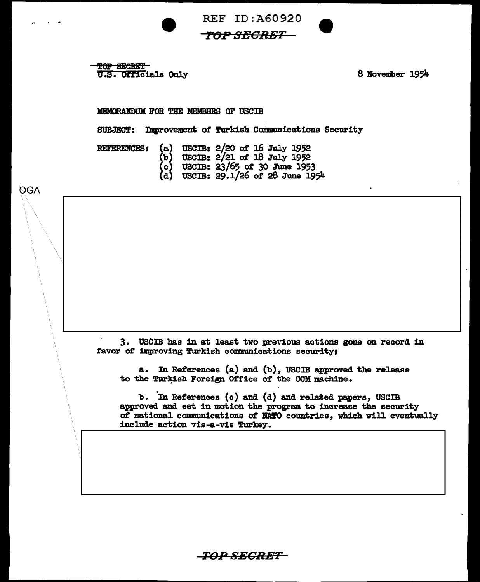

TOP SECRET u.s. Officials Only

8 November 1954

## MEMORABOOM FOR THE MEMBERS OF USCIB

SUBJECT: Improvement of Turkish Communications Security

REFERENCES:

OGA

- (b) UBCIB: 2/21 of 18 July 1952 (a) USCIB:  $2/20$  of 16 July 1952
	- (c) USCIB: 23/65 ot 30 June 1953
	- (d) USCIB: 29.1/26 of 28 June 1954

3. USCIB has in at least two previous actions gone on record in favor of improving Turkish communications security:

a. In References (a) and (b), USCIB approved the release to the Turkish Foreign Office of the CCM machine.

b. In References (c) and (d) and related papers, USCIB approved and set in motion the program to increase the security ot national communications of NATO countries, which will eventually include action vis-a-vis Turkey.

T0,,.*<sup>0</sup>* SBCRET